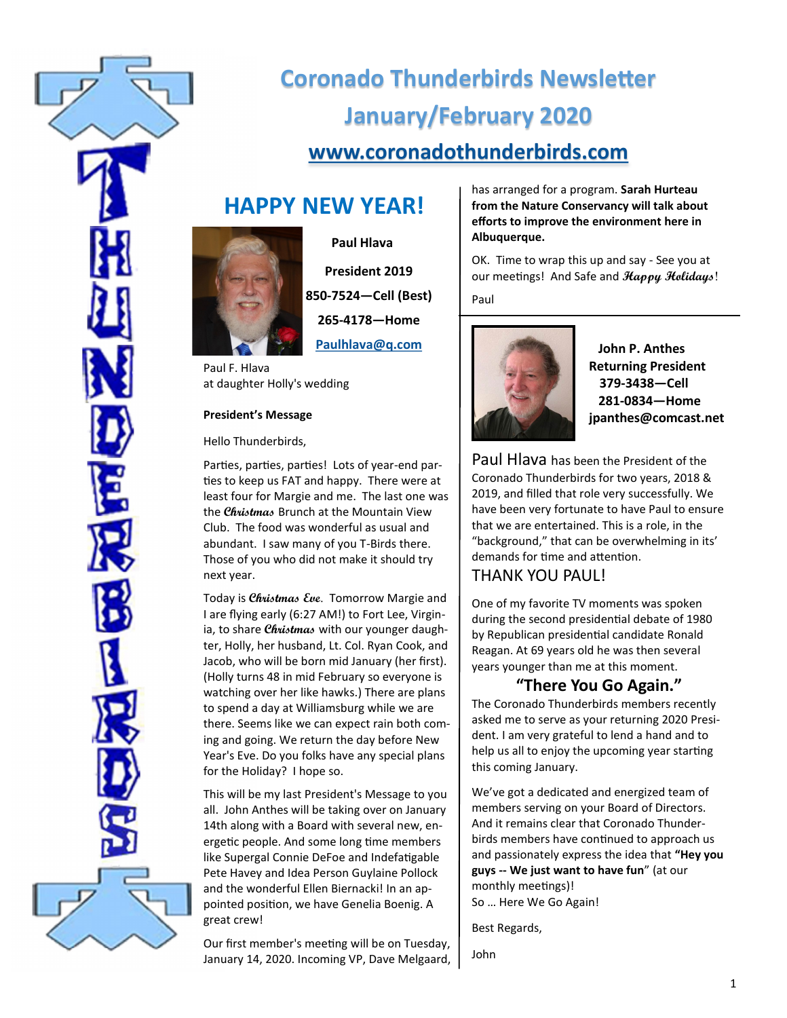

# **Coronado Thunderbirds Newsletter January/February 2020 [www.coronadothunderbirds.com](http://www.coronadothunderbirds.com)**

## **HAPPY NEW YEAR!**



 **Paul Hlava President 2019 850-7524—Cell (Best) 265-4178—Home Paulhlava@q.com**

Paul F. Hlava at daughter Holly's wedding

#### **President's Message**

Hello Thunderbirds,

Parties, parties, parties! Lots of year-end parties to keep us FAT and happy. There were at least four for Margie and me. The last one was the **Christmas** Brunch at the Mountain View Club. The food was wonderful as usual and abundant. I saw many of you T-Birds there. Those of you who did not make it should try next year.

Today is **Christmas Eve**. Tomorrow Margie and I are flying early (6:27 AM!) to Fort Lee, Virginia, to share **Christmas** with our younger daughter, Holly, her husband, Lt. Col. Ryan Cook, and Jacob, who will be born mid January (her first). (Holly turns 48 in mid February so everyone is watching over her like hawks.) There are plans to spend a day at Williamsburg while we are there. Seems like we can expect rain both coming and going. We return the day before New Year's Eve. Do you folks have any special plans for the Holiday? I hope so.

This will be my last President's Message to you all. John Anthes will be taking over on January 14th along with a Board with several new, energetic people. And some long time members like Supergal Connie DeFoe and Indefatigable Pete Havey and Idea Person Guylaine Pollock and the wonderful Ellen Biernacki! In an appointed position, we have Genelia Boenig. A great crew!

Our first member's meeting will be on Tuesday, January 14, 2020. Incoming VP, Dave Melgaard, has arranged for a program. **Sarah Hurteau from the Nature Conservancy will talk about efforts to improve the environment here in Albuquerque.**

OK. Time to wrap this up and say - See you at our meetings! And Safe and **Happy Holidays**! Paul



 **John P. Anthes Returning President 379-3438—Cell 281-0834—Home jpanthes@comcast.net**

Paul Hlava has been the President of the Coronado Thunderbirds for two years, 2018 & 2019, and filled that role very successfully. We have been very fortunate to have Paul to ensure that we are entertained. This is a role, in the "background," that can be overwhelming in its' demands for time and attention.

## THANK YOU PAUL!

One of my favorite TV moments was spoken during the second presidential debate of 1980 by Republican presidential candidate Ronald Reagan. At 69 years old he was then several years younger than me at this moment.

### **"There You Go Again."**

The Coronado Thunderbirds members recently asked me to serve as your returning 2020 President. I am very grateful to lend a hand and to help us all to enjoy the upcoming year starting this coming January.

We've got a dedicated and energized team of members serving on your Board of Directors. And it remains clear that Coronado Thunderbirds members have continued to approach us and passionately express the idea that **"Hey you guys -- We just want to have fun**" (at our monthly meetings)! So … Here We Go Again!

Best Regards,

John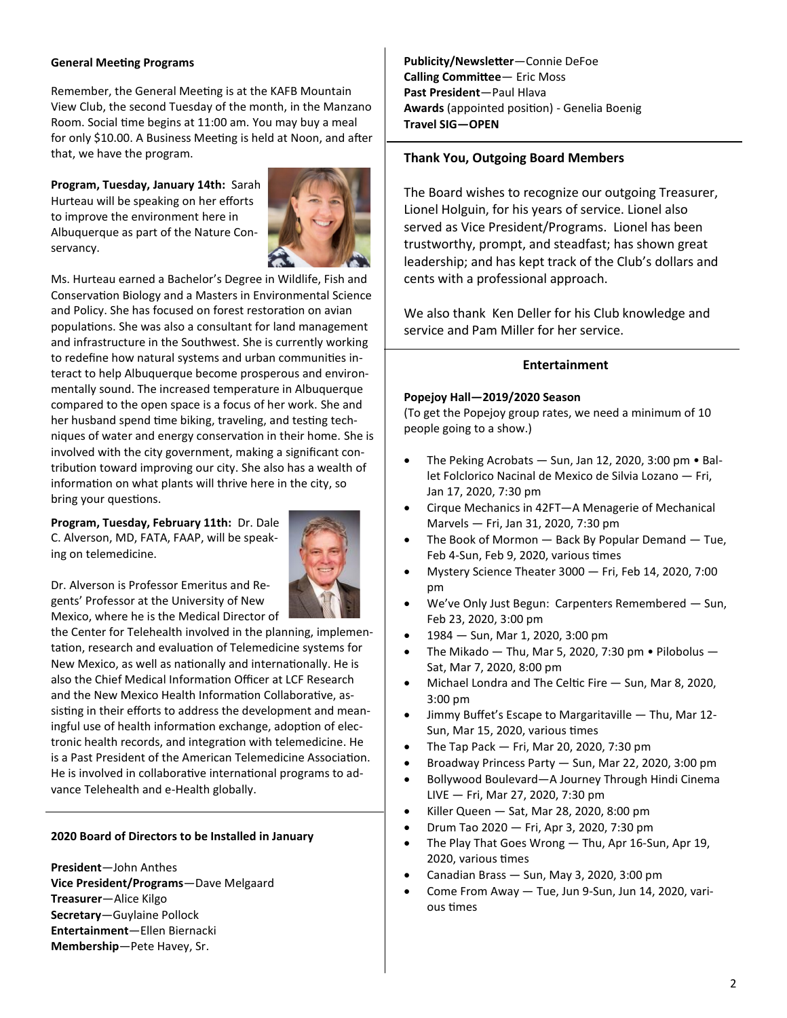#### **General Meeting Programs**

Remember, the General Meeting is at the KAFB Mountain View Club, the second Tuesday of the month, in the Manzano Room. Social time begins at 11:00 am. You may buy a meal for only \$10.00. A Business Meeting is held at Noon, and after that, we have the program.

**Program, Tuesday, January 14th:** Sarah Hurteau will be speaking on her efforts to improve the environment here in Albuquerque as part of the Nature Conservancy.



Ms. Hurteau earned a Bachelor's Degree in Wildlife, Fish and Conservation Biology and a Masters in Environmental Science and Policy. She has focused on forest restoration on avian populations. She was also a consultant for land management and infrastructure in the Southwest. She is currently working to redefine how natural systems and urban communities interact to help Albuquerque become prosperous and environmentally sound. The increased temperature in Albuquerque compared to the open space is a focus of her work. She and her husband spend time biking, traveling, and testing techniques of water and energy conservation in their home. She is involved with the city government, making a significant contribution toward improving our city. She also has a wealth of information on what plants will thrive here in the city, so bring your questions.

**Program, Tuesday, February 11th:** Dr. Dale C. Alverson, MD, FATA, FAAP, will be speaking on telemedicine.



Dr. Alverson is Professor Emeritus and Regents' Professor at the University of New Mexico, where he is the Medical Director of

the Center for Telehealth involved in the planning, implementation, research and evaluation of Telemedicine systems for New Mexico, as well as nationally and internationally. He is also the Chief Medical Information Officer at LCF Research and the New Mexico Health Information Collaborative, assisting in their efforts to address the development and meaningful use of health information exchange, adoption of electronic health records, and integration with telemedicine. He is a Past President of the American Telemedicine Association. He is involved in collaborative international programs to advance Telehealth and e-Health globally.

#### **2020 Board of Directors to be Installed in January**

**President**—John Anthes **Vice President/Programs**—Dave Melgaard **Treasurer**—Alice Kilgo **Secretary**—Guylaine Pollock **Entertainment**—Ellen Biernacki **Membership**—Pete Havey, Sr.

**Publicity/Newsletter**—Connie DeFoe **Calling Committee**— Eric Moss **Past President**—Paul Hlava **Awards** (appointed position) - Genelia Boenig **Travel SIG—OPEN**

#### **Thank You, Outgoing Board Members**

The Board wishes to recognize our outgoing Treasurer, Lionel Holguin, for his years of service. Lionel also served as Vice President/Programs. Lionel has been trustworthy, prompt, and steadfast; has shown great leadership; and has kept track of the Club's dollars and cents with a professional approach.

We also thank Ken Deller for his Club knowledge and service and Pam Miller for her service.

#### **Entertainment**

#### **Popejoy Hall—2019/2020 Season**

(To get the Popejoy group rates, we need a minimum of 10 people going to a show.)

- The Peking Acrobats Sun, Jan 12, 2020, 3:00 pm Ballet Folclorico Nacinal de Mexico de Silvia Lozano — Fri, Jan 17, 2020, 7:30 pm
- Cirque Mechanics in 42FT—A Menagerie of Mechanical Marvels — Fri, Jan 31, 2020, 7:30 pm
- The Book of Mormon  $-$  Back By Popular Demand  $-$  Tue, Feb 4-Sun, Feb 9, 2020, various times
- Mystery Science Theater 3000 Fri, Feb 14, 2020, 7:00 pm
- We've Only Just Begun: Carpenters Remembered Sun, Feb 23, 2020, 3:00 pm
- 1984 Sun, Mar 1, 2020, 3:00 pm
- The Mikado  $-$  Thu, Mar 5, 2020, 7:30 pm  $\bullet$  Pilobolus  $-$ Sat, Mar 7, 2020, 8:00 pm
- Michael Londra and The Celtic Fire Sun, Mar 8, 2020, 3:00 pm
- Jimmy Buffet's Escape to Margaritaville Thu, Mar 12- Sun, Mar 15, 2020, various times
- The Tap Pack  $-$  Fri, Mar 20, 2020, 7:30 pm
- Broadway Princess Party Sun, Mar 22, 2020, 3:00 pm
- Bollywood Boulevard—A Journey Through Hindi Cinema LIVE — Fri, Mar 27, 2020, 7:30 pm
- Killer Queen Sat, Mar 28, 2020, 8:00 pm
- Drum Tao 2020 Fri, Apr 3, 2020, 7:30 pm
- The Play That Goes Wrong Thu, Apr 16-Sun, Apr 19, 2020, various times
- Canadian Brass Sun, May 3, 2020, 3:00 pm
- Come From Away Tue, Jun 9-Sun, Jun 14, 2020, various times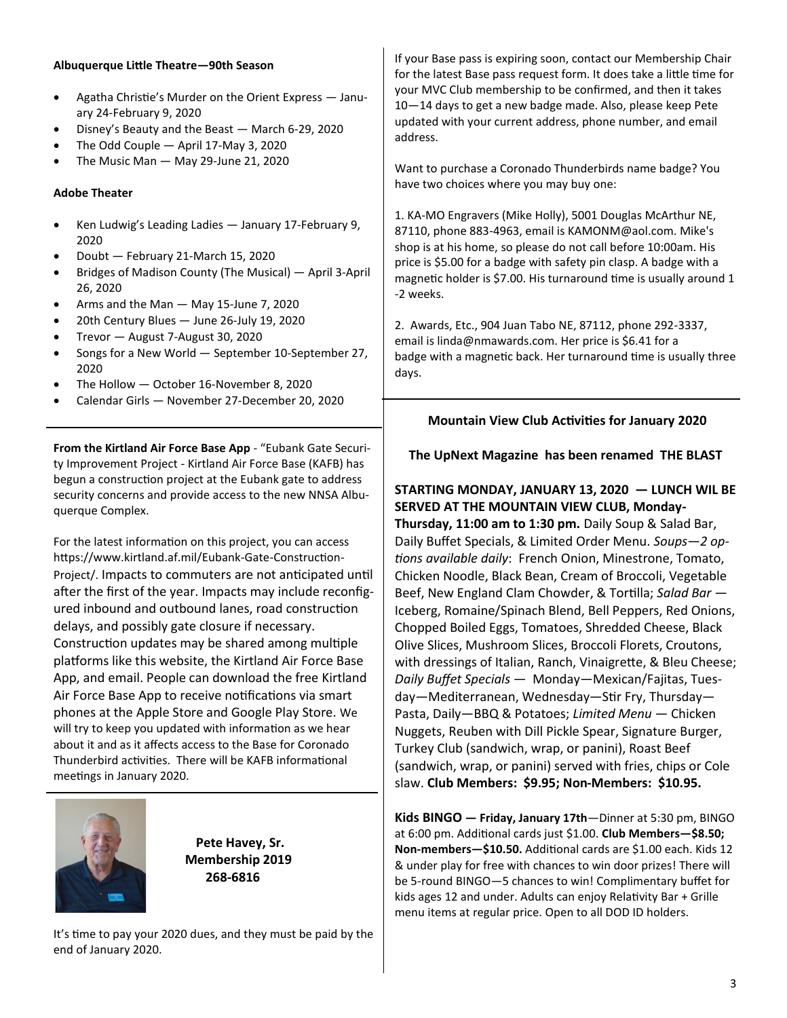#### **Albuquerque Little Theatre—90th Season**

- Agatha Christie's Murder on the Orient Express January 24-February 9, 2020
- Disney's Beauty and the Beast March 6-29, 2020
- The Odd Couple April 17-May 3, 2020
- The Music Man May 29-June 21, 2020

#### **Adobe Theater**

- Ken Ludwig's Leading Ladies January 17-February 9, 2020
- Doubt February 21-March 15, 2020
- Bridges of Madison County (The Musical) April 3-April 26, 2020
- Arms and the Man May 15-June 7, 2020
- 20th Century Blues June 26-July 19, 2020
- Trevor August 7-August 30, 2020
- Songs for a New World September 10-September 27, 2020
- The Hollow October 16-November 8, 2020
- Calendar Girls November 27-December 20, 2020

**From the Kirtland Air Force Base App** - "Eubank Gate Security Improvement Project - Kirtland Air Force Base (KAFB) has begun a construction project at the Eubank gate to address security concerns and provide access to the new NNSA Albuquerque Complex.

For the latest information on this project, you can access https://www.kirtland.af.mil/Eubank-Gate-Construction-Project/. Impacts to commuters are not anticipated until after the first of the year. Impacts may include reconfigured inbound and outbound lanes, road construction delays, and possibly gate closure if necessary. Construction updates may be shared among multiple platforms like this website, the Kirtland Air Force Base App, and email. People can download the free Kirtland Air Force Base App to receive notifications via smart phones at the Apple Store and Google Play Store. We will try to keep you updated with information as we hear about it and as it affects access to the Base for Coronado Thunderbird activities. There will be KAFB informational meetings in January 2020.



**Pete Havey, Sr. Membership 2019 268-6816** 

It's time to pay your 2020 dues, and they must be paid by the end of January 2020.

If your Base pass is expiring soon, contact our Membership Chair for the latest Base pass request form. It does take a little time for your MVC Club membership to be confirmed, and then it takes 10—14 days to get a new badge made. Also, please keep Pete updated with your current address, phone number, and email address.

Want to purchase a Coronado Thunderbirds name badge? You have two choices where you may buy one:

1. KA-MO Engravers (Mike Holly), 5001 Douglas McArthur NE, 87110, phone 883-4963, email is KAMONM@aol.com. Mike's shop is at his home, so please do not call before 10:00am. His price is \$5.00 for a badge with safety pin clasp. A badge with a magnetic holder is \$7.00. His turnaround time is usually around 1 -2 weeks.

2. Awards, Etc., 904 Juan Tabo NE, 87112, phone 292-3337, email is linda@nmawards.com. Her price is \$6.41 for a badge with a magnetic back. Her turnaround time is usually three days.

#### **Mountain View Club Activities for January 2020**

#### **The UpNext Magazine has been renamed THE BLAST**

**STARTING MONDAY, JANUARY 13, 2020 — LUNCH WIL BE SERVED AT THE MOUNTAIN VIEW CLUB, Monday-Thursday, 11:00 am to 1:30 pm.** Daily Soup & Salad Bar, Daily Buffet Specials, & Limited Order Menu. *Soups—2 options available daily*: French Onion, Minestrone, Tomato, Chicken Noodle, Black Bean, Cream of Broccoli, Vegetable Beef, New England Clam Chowder, & Tortilla; *Salad Bar —* Iceberg, Romaine/Spinach Blend, Bell Peppers, Red Onions, Chopped Boiled Eggs, Tomatoes, Shredded Cheese, Black Olive Slices, Mushroom Slices, Broccoli Florets, Croutons, with dressings of Italian, Ranch, Vinaigrette, & Bleu Cheese; *Daily Buffet Specials —* Monday—Mexican/Fajitas, Tuesday—Mediterranean, Wednesday—Stir Fry, Thursday— Pasta, Daily—BBQ & Potatoes; *Limited Menu —* Chicken Nuggets, Reuben with Dill Pickle Spear, Signature Burger, Turkey Club (sandwich, wrap, or panini), Roast Beef (sandwich, wrap, or panini) served with fries, chips or Cole slaw. **Club Members: \$9.95; Non-Members: \$10.95.**

**Kids BINGO — Friday, January 17th**—Dinner at 5:30 pm, BINGO at 6:00 pm. Additional cards just \$1.00. **Club Members—\$8.50; Non-members—\$10.50.** Additional cards are \$1.00 each. Kids 12 & under play for free with chances to win door prizes! There will be 5-round BINGO—5 chances to win! Complimentary buffet for kids ages 12 and under. Adults can enjoy Relativity Bar + Grille menu items at regular price. Open to all DOD ID holders.